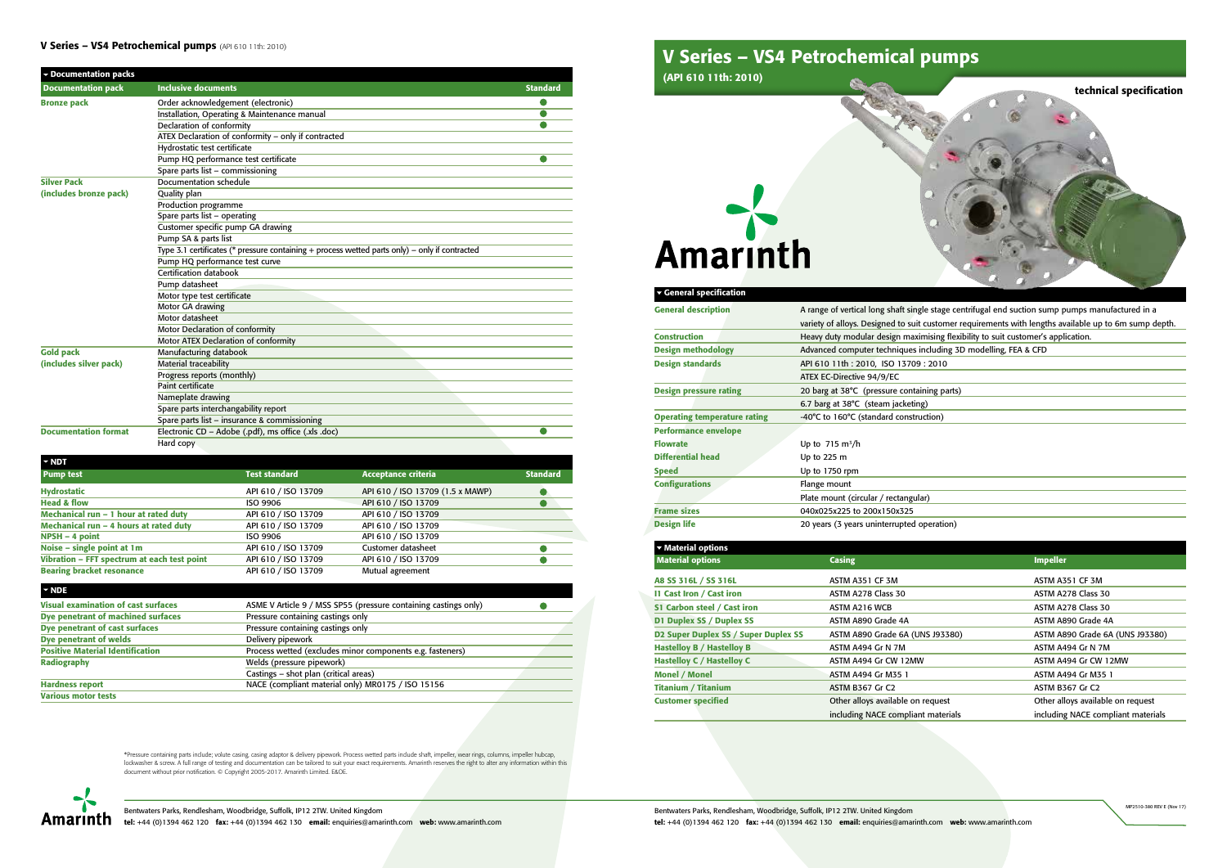

Bentwaters Parks, Rendlesham, Woodbridge, Suffolk, IP12 2TW. United Kingdom tel: +44 (0)1394 462 120 fax: +44 (0)1394 462 130 email: enquiries@amarinth.com web: www.amarinth.com

destage centrifugal end suction sump pumps manufactured in a customer requirements with lengths available up to 6m sump depth. ising flexibility to suit customer's application. cluding 3D modelling, FEA & CFD

ing parts)

# beration)

Bentwaters Parks, Rendlesham, Woodbridge, Suffolk, IP12 2TW. United Kingdom Amarinth tel: +44 (0)1394 462 120 fax: +44 (0)1394 462 130 email: enquiries@amarinth.com web: www.amarinth.com

| ▼ General specification             |                                              |
|-------------------------------------|----------------------------------------------|
| <b>General description</b>          | A range of vertical long shaft single stage  |
|                                     | variety of alloys. Designed to suit custon   |
| <b>Construction</b>                 | Heavy duty modular design maximising         |
| <b>Design methodology</b>           | Advanced computer techniques includir        |
| <b>Design standards</b>             | API 610 11th: 2010, ISO 13709: 2010          |
|                                     | <b>ATEX EC-Directive 94/9/EC</b>             |
| <b>Design pressure rating</b>       | 20 barg at 38°C (pressure containing pa      |
|                                     | 6.7 barg at $38^{\circ}$ C (steam jacketing) |
| <b>Operating temperature rating</b> | -40°C to 160°C (standard construction)       |
| <b>Performance envelope</b>         |                                              |
| <b>Flowrate</b>                     | Up to $715 \text{ m}^3/\text{h}$             |
| <b>Differential head</b>            | Up to 225 m                                  |
| <b>Speed</b>                        | Up to 1750 rpm                               |
| <b>Configurations</b>               | Flange mount                                 |
|                                     | Plate mount (circular / rectangular)         |
| <b>Frame sizes</b>                  | 040x025x225 to 200x150x325                   |
| <b>Design life</b>                  | 20 years (3 years uninterrupted operation    |

| ▼ Material options                   |                                    |                                    |
|--------------------------------------|------------------------------------|------------------------------------|
| <b>Material options</b>              | <b>Casing</b>                      | <b>Impeller</b>                    |
| A8 SS 316L / SS 316L                 | ASTM A351 CF 3M                    | ASTM A351 CF 3M                    |
| 11 Cast Iron / Cast iron             | ASTM A278 Class 30                 | ASTM A278 Class 30                 |
| S1 Carbon steel / Cast iron          | ASTM A216 WCB                      | ASTM A278 Class 30                 |
| D1 Duplex SS / Duplex SS             | ASTM A890 Grade 4A                 | ASTM A890 Grade 4A                 |
| D2 Super Duplex SS / Super Duplex SS | ASTM A890 Grade 6A (UNS J93380)    | ASTM A890 Grade 6A (UNS J93380)    |
| <b>Hastelloy B / Hastelloy B</b>     | ASTM A494 Gr N 7M                  | ASTM A494 Gr N 7M                  |
| <b>Hastelloy C / Hastelloy C</b>     | ASTM A494 Gr CW 12MW               | ASTM A494 Gr CW 12MW               |
| <b>Monel / Monel</b>                 | <b>ASTM A494 Gr M35 1</b>          | ASTM A494 Gr M35 1                 |
| <b>Titanium / Titanium</b>           | <b>ASTM B367 Gr C2</b>             | <b>ASTM B367 Gr C2</b>             |
| <b>Customer specified</b>            | Other alloys available on request  | Other alloys available on request  |
|                                      | including NACE compliant materials | including NACE compliant materials |

# V Series - VS4 Petrochemical pumps (API 610 11th: 2010)

| Documentation packs         |                                                                                                |                 |
|-----------------------------|------------------------------------------------------------------------------------------------|-----------------|
| <b>Documentation pack</b>   | <b>Inclusive documents</b>                                                                     | <b>Standard</b> |
| <b>Bronze pack</b>          | Order acknowledgement (electronic)                                                             |                 |
|                             | Installation, Operating & Maintenance manual                                                   | O               |
|                             | <b>Declaration of conformity</b>                                                               |                 |
|                             | ATEX Declaration of conformity - only if contracted                                            |                 |
|                             | Hydrostatic test certificate                                                                   |                 |
|                             | Pump HQ performance test certificate                                                           |                 |
|                             | Spare parts list - commissioning                                                               |                 |
| <b>Silver Pack</b>          | Documentation schedule                                                                         |                 |
| (includes bronze pack)      | Quality plan                                                                                   |                 |
|                             | Production programme                                                                           |                 |
|                             | Spare parts list - operating                                                                   |                 |
|                             | Customer specific pump GA drawing                                                              |                 |
|                             | Pump SA & parts list                                                                           |                 |
|                             | Type 3.1 certificates (* pressure containing + process wetted parts only) – only if contracted |                 |
|                             | Pump HQ performance test curve                                                                 |                 |
|                             | Certification databook                                                                         |                 |
|                             | Pump datasheet                                                                                 |                 |
|                             | Motor type test certificate                                                                    |                 |
|                             | Motor GA drawing                                                                               |                 |
|                             | Motor datasheet                                                                                |                 |
|                             | Motor Declaration of conformity                                                                |                 |
|                             | Motor ATEX Declaration of conformity                                                           |                 |
| <b>Gold pack</b>            | Manufacturing databook                                                                         |                 |
| (includes silver pack)      | <b>Material traceability</b>                                                                   |                 |
|                             | Progress reports (monthly)                                                                     |                 |
|                             | Paint certificate                                                                              |                 |
|                             | Nameplate drawing                                                                              |                 |
|                             | Spare parts interchangability report                                                           |                 |
|                             | Spare parts list - insurance & commissioning                                                   |                 |
| <b>Documentation format</b> | Electronic CD - Adobe (.pdf), ms office (.xls .doc)                                            | O               |
|                             | Hard copy                                                                                      |                 |

| $\sim$ NDT                                  |                      |                                  |                 |
|---------------------------------------------|----------------------|----------------------------------|-----------------|
| <b>Pump test</b>                            | <b>Test standard</b> | <b>Acceptance criteria</b>       | <b>Standard</b> |
| <b>Hydrostatic</b>                          | API 610 / ISO 13709  | API 610 / ISO 13709 (1.5 x MAWP) |                 |
| <b>Head &amp; flow</b>                      | ISO 9906             | API 610 / ISO 13709              |                 |
| Mechanical run - 1 hour at rated duty       | API 610 / ISO 13709  | API 610 / ISO 13709              |                 |
| Mechanical run - 4 hours at rated duty      | API 610 / ISO 13709  | API 610 / ISO 13709              |                 |
| $NPSH - 4 point$                            | ISO 9906             | API 610 / ISO 13709              |                 |
| Noise - single point at 1m                  | API 610 / ISO 13709  | Customer datasheet               |                 |
| Vibration - FFT spectrum at each test point | API 610 / ISO 13709  | API 610 / ISO 13709              |                 |
| <b>Bearing bracket resonance</b>            | API 610 / ISO 13709  | Mutual agreement                 |                 |

### NDE Visual examination of cast surfaces ASME V Article 9 / MSS SP55 (pressure containing castings only)<br>Dye penetrant of machined surfaces Pressure containing castings only  $\bullet$ Dye penetrant of machined surfaces Dye penetrant of cast surfaces Pressure containing castings only Dye penetrant of welds Delivery pipework Positive Material Identification Process wetted (excludes minor components e.g. fasteners) Radiography Welds (pressure pipework) Castings – shot plan (critical areas) Hardness report NACE (compliant material only) MR0175 / ISO 15156 Various motor tests

\*Pressure containing parts include; volute casing, casing adaptor & delivery pipework. Process wetted parts include shaft, impeller, wear rings, columns, impeller hubcap, lockwasher & screw. A full range of testing and documentation can be tailored to suit your exact requirements. Amarinth reserves the right to alter any information within this document without prior notification. © Copyright 2005-2017. Amarinth Limited. E&OE.



# V Series – VS4 Petrochemical pumps

(API 610 11th: 2010)

# **Amarinth**